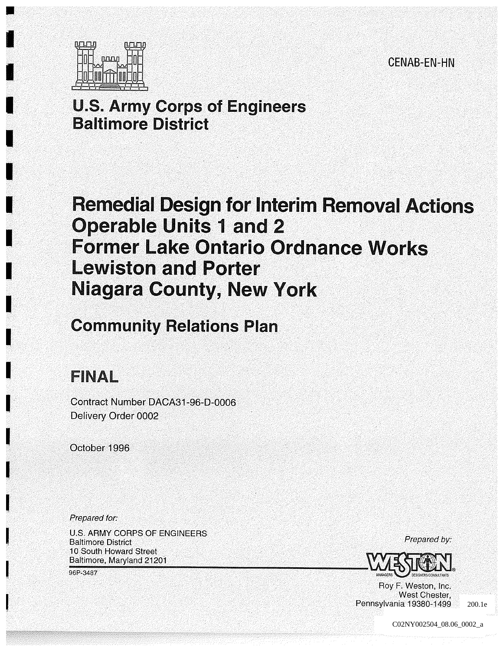CENAB-EN-HN



# **U.S. Army Corps of Engineers** Baltimore District

# Remedial Design for Interim Removal Actions **Operable Units 1 and 2 Former Lake Ontario Ordnance Works** Lewiston and Porter Niagara County, New York

# Community Relations Plan

# FINAL

Contract Number DACA31-96-D-0006 Delivery Order 0002

October 1996

Prepared for

U.S. ARMY CORPS OF ENGINEERS Baltimore District 10 South Howard Street Baltimore, Maryland 21201

96P-3487

Prepared by:



Roy F. Weston, Inc. West Chester, Pennsylvania 19380-1499

PROJ 0005 C02NY002504\_08.06\_0002\_a 200.1e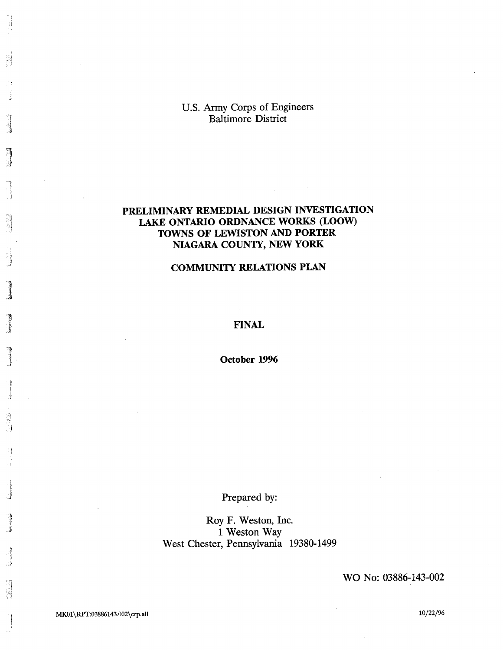U.S. Army Corps of Engineers Baltimore District

## PRELIMINARY REMEDIAL DESIGN INVESTIGATION LAKE ONTARIO ORDNANCE WORKS (LOOW) TOWNS OF LEWISTON AND PORTER NIAGARA COUNTY, NEW YORK

### COMMUNITY RELATIONS PLAN

#### FINAL

October 1996

## Prepared by:

Roy F. Weston, Inc. Weston Way West Chester, Pennsylvania 19380-1499

WO No: 03886-143-002

쵧

ã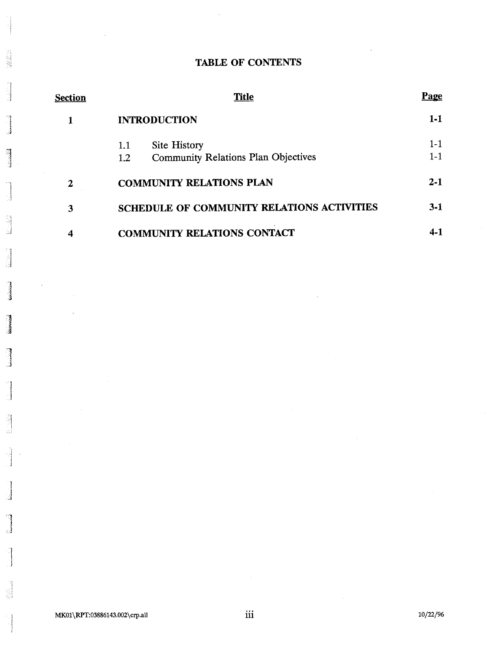## TABLE OF CONTENTS

| Section | <b>Title</b>                                      | <u>Page</u> |
|---------|---------------------------------------------------|-------------|
|         | <b>INTRODUCTION</b>                               | $1-1$       |
|         | Site History<br>1.1                               | $1 - 1$     |
|         | <b>Community Relations Plan Objectives</b><br>1.2 | $1 - 1$     |
| 2       | <b>COMMUNITY RELATIONS PLAN</b>                   | $2 - 1$     |
| 3       | <b>SCHEDULE OF COMMUNITY RELATIONS ACTIVITIES</b> | $3-1$       |
|         | <b>COMMUNITY RELATIONS CONTACT</b>                | 4.1         |

1325年3月

3

.<br>Kabupatèn K

أنسحدك

9

**Liciciana** 

**Contractor** 

lahasa dalam

4

귀

ś

a)

á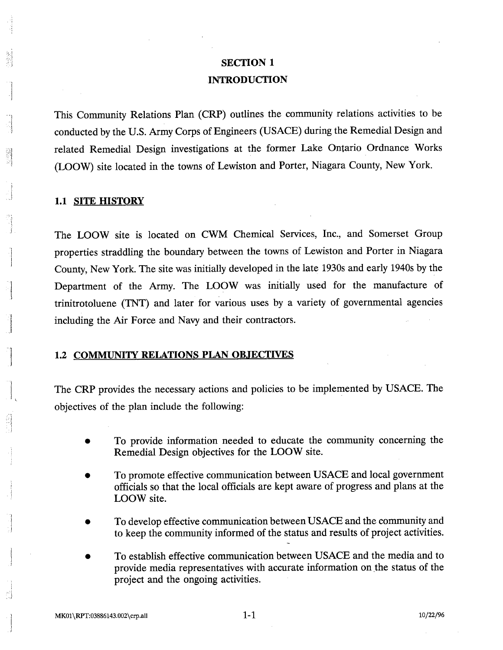# **SECTION 1** INTRODUCTION

This Community Relations Plan (CRP) outlines the community relations activities to be conducted by the U.S. Army Corps of Engineers (USACE) during the Remedial Design and related Remedial Design investigations at the former Lake Ontario Ordnance Works (LOOW) site located in the towns of Lewiston and Porter, Niagara County, New York.

### 1.1 SITE HISTORY

The LOOW site is located on CWM Chemical Services, Inc., and Somerset Group properties straddling the boundary between the towns of Lewiston and Porter in Niagara County, New York. The site was initially developed in the late 1930s and early 1940s by the Department of the Army. The LOOW was initially used for the manufacture of trinitrotoluene (TNT) and later for various uses by a variety of governmental agencies including the Air Force and Navy and their contractors

### 1.2 COMMUNITY RELATIONS PLAN OBJECTIVES

The CRP provides the necessary actions and policies to be implemented by USACE The objectives of the plan include the following

- To provide information needed to educate the community concerning the Remedial Design objectives for the LOOW site
- To promote effective communication between USACE and local government officials so that the local officials are kept aware of progress and plans at the LOOW site.
- To develop effective communication between USACE and the community and to keep the community informed of the status and results of project activities
- To establish effective communication between USACE and the media and to provide media representatives with accurate information on the status of the project and the ongoing activities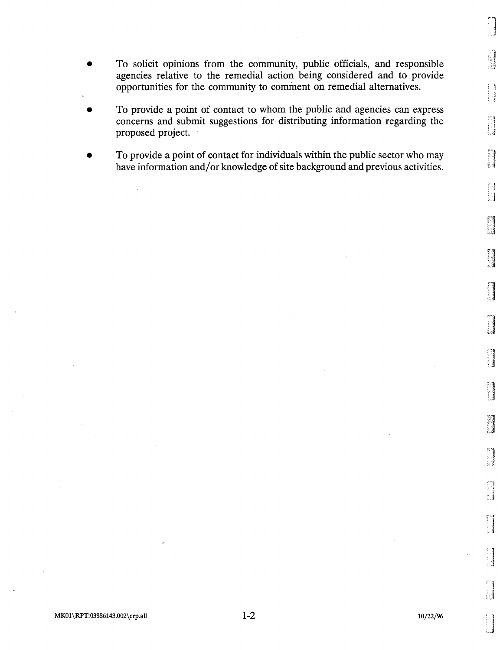- To solicit opinions from the community, public officials, and responsible agencies relative to the remedial action being considered and to provide opportunities for the community to comment on remedial alternatives
- To provide a point of contact to whom the public and agencies can express concerns and submit suggestions for distributing information regarding the proposed project
- To provide a point of contact for individuals within the public sector who may have information and/or knowledge of site background and previous activities

H

nasa meng<br>Manang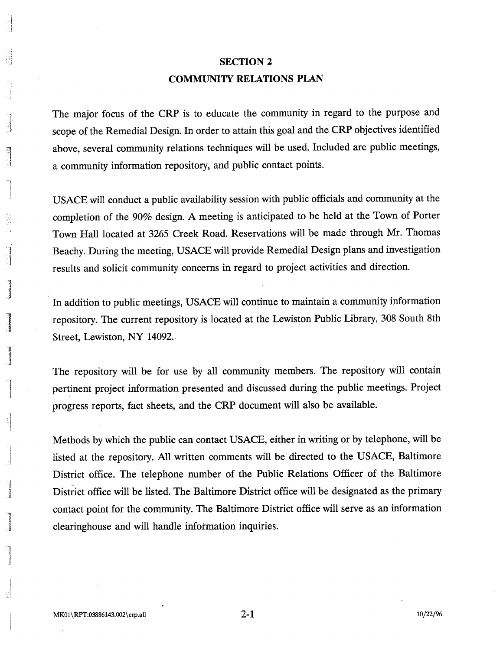# **SECTION 2** COMMUNITY RELATIONS PLAN

The major focus of the CRP is to educate the community in regard to the purpose and scope of the Remedial Design. In order to attain this goal and the CRP objectives identified above, several community relations techniques will be used. Included are public meetings, a community information repository, and public contact points.

USACE will conduct a public availability session with public officials and community at the completion of the 90% design. A meeting is anticipated to be held at the Town of Porter Town Hall located at 3265 Creek Road. Reservations will be made through Mr. Thomas Beachy. During the meeting, USACE will provide Remedial Design plans and investigation results and solicit community concerns in regard to project activities and direction

In addition to public meetings, USACE will continue to maintain a community information repository. The current repository is located at the Lewiston Public Library, 308 South 8th Street, Lewiston, NY 14092.

The repository will be for use by all community members. The repository will contain pertinent project information presented and discussed during the public meetings. Project progress reports, fact sheets, and the CRP document will also be available.

Methods by which the public can contact USACE, either in writing or by telephone, will be listed at the repository. All written comments will be directed to the USACE, Baltimore District office. The telephone number of the Public Relations Officer of the Baltimore District office will be listed. The Baltimore District office will be designated as the primary contact point for the community. The Baltimore District office will serve as an information clearinghouse and will handle information inquiries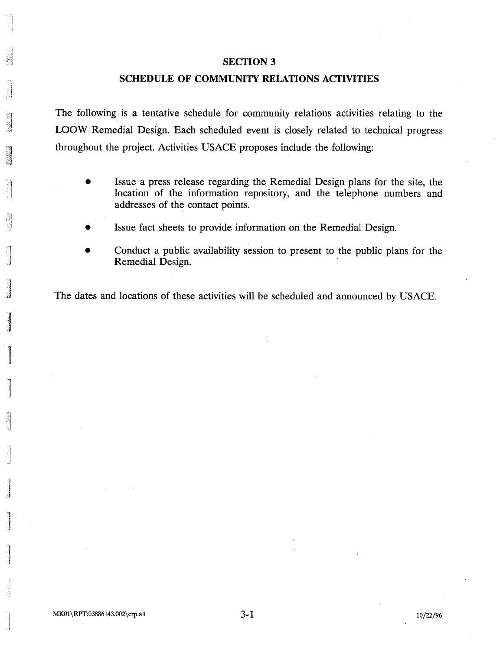#### **SECTION 3**

### SCHEDULE OF COMMUNITY RELATIONS ACTIVITIES

The following is a tentative schedule for community relations activities relating to the LOOW Remedial Design. Each scheduled event is closely related to technical progress throughout the project. Activities USACE proposes include the following:

- Issue a press release regarding the Remedial Design plans for the site, the location of the information repository, and the telephone numbers and addresses of the contact points
- Issue fact sheets to provide information on the Remedial Design
- Conduct a public availability session to present to the public plans for the Remedial Design

The dates and locations of these activities will be scheduled and announced by USACE